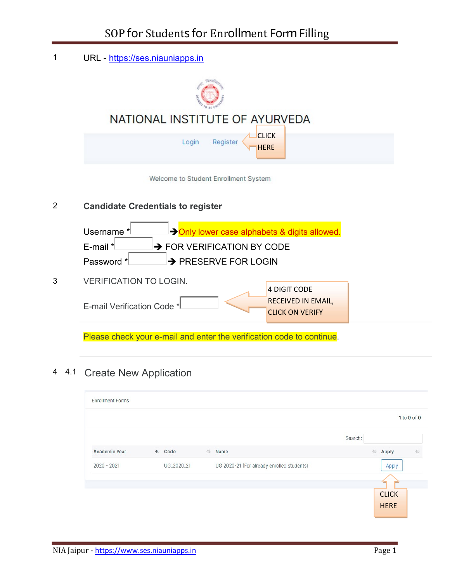1 URL - https://ses.niauniapps.in NATIONAL INSTITUTE OF AYURVEDA **CLICK** Login Register HERE Welcome to Student Enrollment System 2 Candidate Credentials to register Username  $*$   $\rightarrow$  Only lower case alphabets & digits allowed. E-mail  $*$   $\rightarrow$  FOR VERIFICATION BY CODE Password \* **PRESERVE FOR LOGIN** 3 VERIFICATION TO LOGIN. 4 DIGIT CODE RECEIVED IN EMAIL, E-mail Verification Code \* CLICK ON VERIFY Please check your e-mail and enter the verification code to continue.

### 4 4.1 Create New Application

| <b>Enrollment Forms</b> |            |            |                                            |         |   |              |             |
|-------------------------|------------|------------|--------------------------------------------|---------|---|--------------|-------------|
|                         |            |            |                                            |         |   |              | 1 to 0 of 0 |
|                         |            |            |                                            | Search: |   |              |             |
| <b>Academic Year</b>    | $\uparrow$ | Code       | $N$ Name                                   |         | N | Apply        | 礼           |
| $2020 - 2021$           |            | UG_2020_21 | UG 2020-21 (For already enrolled students) |         |   | Apply        |             |
|                         |            |            |                                            |         |   |              |             |
|                         |            |            |                                            |         |   | <b>CLICK</b> |             |
|                         |            |            |                                            |         |   | <b>HERE</b>  |             |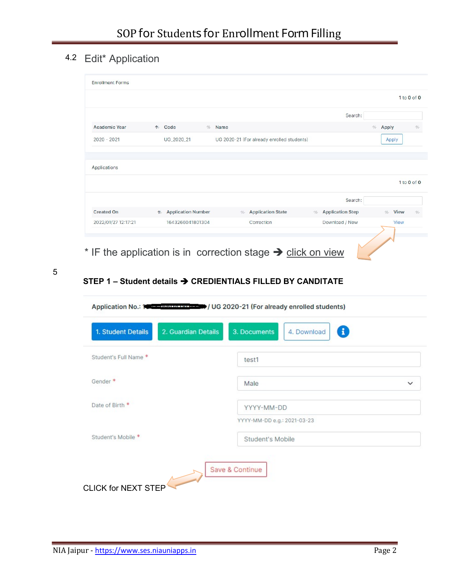# 4.2 Edit\* Application

|                      |                                         |           |                                            |                                     | 1 to 0 of 0                  |
|----------------------|-----------------------------------------|-----------|--------------------------------------------|-------------------------------------|------------------------------|
|                      |                                         |           |                                            | Search:                             |                              |
| <b>Academic Year</b> | $\uparrow$<br>Code                      | Name<br>N |                                            |                                     | N<br>Apply<br>礼              |
| $2020 - 2021$        | UG_2020_21                              |           | UG 2020-21 (For already enrolled students) |                                     | Apply                        |
|                      |                                         |           |                                            |                                     |                              |
|                      |                                         |           |                                            |                                     |                              |
|                      |                                         |           |                                            |                                     |                              |
|                      |                                         |           |                                            |                                     |                              |
| Applications         |                                         |           |                                            |                                     | 1 to 0 of 0                  |
|                      |                                         |           |                                            | Search:                             |                              |
| <b>Created On</b>    | <b>Application Number</b><br>$\uparrow$ |           | <b>Application State</b><br>N              | <b>Application Step</b><br><b>N</b> | <b>View</b><br>心<br><b>N</b> |

\* IF the application is in correction stage  $\rightarrow$  click on view

5

## STEP 1 - Student details  $\rightarrow$  CREDIENTIALS FILLED BY CANDITATE

|                                           | Application No.: 100 - 55 M Julian 10 / UG 2020-21 (For already enrolled students) |
|-------------------------------------------|------------------------------------------------------------------------------------|
| 1. Student Details<br>2. Guardian Details | $\mathbf{f}$<br>3. Documents<br>4. Download                                        |
| Student's Full Name *                     | test1                                                                              |
| Gender <sup>*</sup>                       | Male<br>$\checkmark$                                                               |
| Date of Birth *                           | YYYY-MM-DD                                                                         |
| Student's Mobile *                        | YYYY-MM-DD e.g.: 2021-03-23<br><b>Student's Mobile</b>                             |
| <b>CLICK for NEXT STEP</b>                | Save & Continue                                                                    |